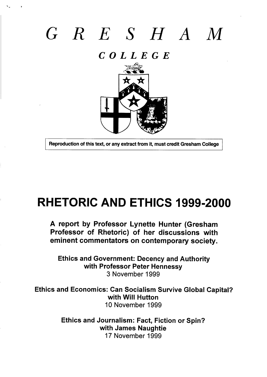# *GRE SHAM*

*COLLEGE*



**Reproduction of this text, or any extract from it, must credit Gresham College** 

I

## **RHETORIC AND ETHICS 1999-2000**

**A report by Professor Lynette Hunter (Gresham Professor of Rhetoric) of her discussions with eminent commentators on contemporary society.**

**Ethics and Government: Decency and Authority with Professor Peter Hennessy 3** November 1999

**Ethics and Economics: Can Socialism Survive Global Capital? with Will Hutton** 10 November 1999

> **Ethics and Journalism: Fact, Fiction or Spin? with James Naughtie** <sup>17</sup> November 1999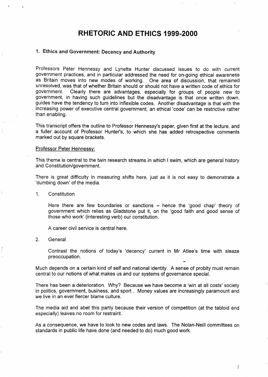### **RHETORIC AND ETHICS 1999-2000**

#### **1. Ethics and Government: Decency and Authority**

Professors Peter Hennessy and Lynette Hunter djscussed issues to do with current government practices, and in particular addressed the need for on-going ethical awareness as Britain moves into new modes of working. One area of discussion, that remained unresolved, was that of whether Britain should or should not have a written code of ethics for government. Clearly there are advantages, especially for groups of people new to government, in having such guidelines but the disadvantage is that once written down, guides have the tendency to turn into inflexible codes. Another disadvantage is that with the increasing power of executive central government,' an ethical 'code' can be restrictive rather than enabling.

This transcript offers the outline to Professor Hennessy's paper, given first at the lecture, and a fuller account of Professor Hunter's, to which she has added retrospective comments marked out by square brackets.

#### Professor Peter Hennessy:

This theme is central to the twin research streams in which I swim, which are general history and Constitution/government.

There is great difficulty in measuring shifts here, just as it is not easy to demonstrate a 'dumbing down' of the media.

1. Constitution

T.

,,

Here there are few boundaries or sanctions  $-$  hence the 'good chap' theory of government which relies as Gladstone put it, on the 'good faith and good sense of those who work' (interesting verb) our constitution.

A career civil service is central here.

2. General

Contrast the notions of today's 'decency' current in Mr Atlee's time with sleaze preoccupation.

Much depends on a certain kind of self and national identity. A sense of probity must remain central to our notions of what makes us and our systems of governance special.

There has been a deterioration. Why? Because we have become a 'win at all costs' society in politics, government, business, and sport . Money values are increasingly paramount and we live in an ever fiercer blame culture.

The media aid and abet this partly because their version of competition (at the tabloid end especially) leaves no room for restraint.

As a consequence, we have to look to new codes and laws. The Nolan-Neill committees on standards in public life have done (and needed to do) much good work.

I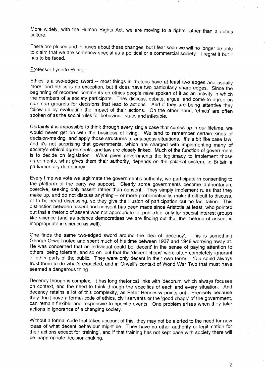More widely, with the Human Rights Act, we are moving to a rights rather than a duties culture.

There are pluses and minuses about these changes, but I fear soon we will no longer be able to claim that we are somehow special as a political or a commercial society. I regret it but it has to be faced.

#### Professor Lvnette Hunter

Ethics is a two-edged sword -- most things in rhetoric have at least two edges and usually more, and ethics is no exception, but it does have two particularly sharp edges. Since the beginning of recorded comments on ethics people have spoken of it as an activity in which the members of a society participate. They discuss, debate, argue, and come to agree on common grounds for decisions that lead to actions. And if they are being attentive they follow up by evaluating the impact of their actions. On the other hand, 'ethics' are often spoken of as the social rules for behaviour: static and inflexible.

Certainly it is impossible to think through every single case that comes up in our lifetime, we would never get on with the business of living. We tend to remember certain kinds of decision-making, and apply those structures to analogous situations. It's a bit like case law, and it's not surprising that governments, which are charged with implementing many of society's ethical agreements, and law are closely linked. Much of the function of government is to decide on legislation. What gives governments the legitimacy to implement those agreements, what gives them their authority, depends on the political system: in Britain a parliamentary democracy.

Every time we vote we legitimate the government's authority, we participate in consenting to the platform of the party we support. Clearly some governments become authoritarian, coercive, seeking only assent rather than consent. They simply implement rules that they make up, and do not discuss anything -- or more problematically, make it difficult to discuss, or to be heard discussing, so they give the illusion of participation but no facilitation. This distinction between assent and consent has been made since Aristotle at least, who pointed out that a rhetoric of assent was not appropriate for public life, only for special interest groups like science (and as science democratises we are finding out that the rhetoric of assent is inappropriate in science as well).

One finds the same two-edged sword around the idea of 'decency'. This is something George Orwell noted and spent much of his time between 1937 and 1948 worrying away at. He was concerned that an individual could be 'decent' in the sense of paying attention to others, being tolerant, and so on, but that the 'decent chaps' were often completely ignorant of other parts of the public. They were only decent in their own terms. You could always trust them to do what's expected, and in Orwell's context of World War Two that must have seemed a dangerous thing.

Decency though is complex. It has long rhetorical iinks with 'decorum' which always focuses on context, and the need to think through the specifics of each and every situation. And decency retains a lot of this complexity, as Peter Hennessy points out. Precisely because they don't have a formal code of ethics, civil servants or the 'good chaps' of the government, can remain flexible and responsive to specific events. One problem arises when they take actions in ignorance of a changing society.

Without a formal code that takes account of this, they may not be alerted to the need for new ideas of what decent behaviour might be. They have no other authority or legitimation for their actions except for 'training', and if that training has not kept pace with society there will be inappropriate decision-making.

,,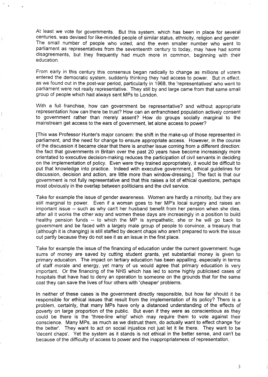At least we vote for governments. But this system, which has been in place for several centuries, was devised for like-minded people of similar status, ethnicity, religion and gender. The small number of people who voted, and the even smaller number who went to parliament as representatives from the seventeenth century to today, may have had some disagreements, but they frequently had much more in common, beginning with their education.

7

From early in this century this consensus began radically to change as millions of voters entered the democratic system, suddenly thinking they had access to power. But in effect, as we found out in the post-war period, particularly in 1968, the 'representatives' who went to parliament were not really representative. They still by and large came from that same small group of people which had always sent MPs to London.

With a full franchise, how can government be representative? and without appropriate representation how can there be trust? How can an enfranchised population actively consent to government rather than merely assent? How do groups socially marginal to the mainstream get access to the ears of government, let alone access to power?

[This was Professor Huntets major concern: the shift in the make-up of those represented in parliament, and the need for change to ensure appropriate access. However, in the course of the discussion it became clear that there is another issue coming from a different direction: the fact that governments in Britain over the past 20 years have become increasingly more orientated to executive decision-making reduces the participation of civil servants in deciding on the implementation of policy. Even were they trained appropriately, it would be difficult to put that knowledge into practice. Indeed with executive government, ethical guidelines for discussion, decision and action, are little more than window-dressing.] The fact is that our government is not fully representative and that this raises a lot of ethical questions, perhaps most obviously in the overlap between politicians and the civil service.

Take for example the issue of gender awareness. Women are hardly a minority, but they are still marginal to power. Even if a woman goes to her MP's local surgery and raises an important issue -- such as why can't her husband benefit from her pension when she dies, after all it works the other way and women these days are increasingly in a position to build healthy pension funds -- to which the MP is sympathetic, she or he will go back to government and be faced with a largely male group of people to convince, a treasury that (although it is changing) is still staffed by decent chaps who aren't prepared to work the issue out partly because they do not see it as an issue in the first place.

Take for example the issue of the financing of education under the current government: huge sums of money are saved by cutting student grants, yet substantial money is given to primary education. The impact on tertiary education has been appalling, especially in terms of staff morale and energy, yet many of us would agree that primary education is very important. Or the financing of the NHS which has led to some highly publicised cases of hospitals that have had to deny an operation to someone on the grounds that for the same cost they can save the lives of four others with 'cheaper' problems.

In neither of these cases is the government directly responsible, but how far should it be responsible for ethical issues that result from the implementation of its policy? There is a problem, certainly, that many MPs have only a distanced understanding of the effects of poverty on large proportion of the public. But even if they were as conscientious as they could be there is the 'three-line whip' which may require them to vote against their conscience. Many MPs, as much as we distrust them, do actually want to effect change 'for the better'. They want to act on social injustice not just let it lie there. They want to be 'decent chaps'. Yet the system as it stands is not ethical in the better sense, and can't be because of the difficulty of access to power and the inappropriateness of representation.

 $\mathfrak{Z}$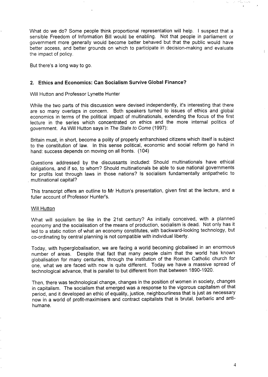What do we do? Some people think proportional representation will help. I suspect that a sensible Freedom of Information Bill would be enabling. Not that people in parliament or government more generally would become better behaved but that the public would have better access, and better grounds on which to participate in decision-making and evaluate the impact of policy.

But there's a long way to go.

#### 2. **Ethics and Economics: Can Socialism Suwive Global Finance?**

Will Hutton and Professor Lynette Hunter

While the two parts of this discussion were devised independently, it's interesting that there are so many overlaps in concern. Both speakers turned to issues of ethics and global economics in terms of the political impact of multinationals, extending the focus of the first lecture in the series which concentrated on ethics and the more internal politics of government. As Will Hutton says in The State to Come (1997):

Britain must, in short, become a polity of properly enfranchised citizens which itself is subject to the constitution of law. In this sense political, economic and social reform go hand in hand: success depends on moving on all fronts. (104)

Questions addressed by the discussants included: Should multinationals have ethical obligations, and if so, to whom? Should multinationals be able to sue national governments for profits lost through laws in those nations? Is socialism fundamentally antipathetic to multinational capital?

This transcript offers an outline to Mr Hutton's presentation, given first at the lecture, and a fuller account of Professor Hunter's.

#### Will Hutton

What will socialism be like in the 21st century? As initially conceived, with a planned economy and the socialisation of the means of production, socialism is dead. Not only has it led to a static notion of what an economy constitutes, with backward-looking technology, but co-ordinating by central planning is not compatible with individual liberty.

Today, with hyperglobalisation, we are facing a world becoming globalised in an enormous number of areas. Despite that fact that many people claim that the world has known globalisation for many centuries, through the institution of the Roman Catholic church for one, what we are faced with now is quite different. Today we have a massive spread of technological advance, that is parallel to but different from that between 1890-1920.

Then, there was technological change, changes in the position of women in society, changes in capitalism. The socialism that emerged was a response to the vigorous capitalism of that period, and it developed an ethic of equality, justice, neighbourliness that is just as necessary now in a world of profit-maximisers and contract capitalists that is brutal, barbaric and antihumane.

... . ..-..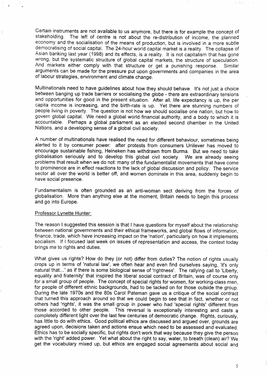Cedain instruments are not available to us **anymore, but there is for** example the concept of stakeholding. The left of centre is not about the re-distribution of income, the planned economy and the socialisation of the means of production, but is involved in a more subtle democratising of social capital. The 24-hour world capital market is a reality. The collapse of Asian banking last year (1998) and its effects, is a reality, It is not capitalism that has gone wrong, but the systematic structure of global capital markets, the structure of speculation. And markets either comply with that structure or get a punishing response. Similar arguments can be made for the pressure put upon governments and companies in the area of Iabour strategies, environment and climate change.

Multinationals need to have guidelines about how they should behave. It's not just a choice between banging up trade barriers or socialising the globe - there are extraordinary tensions and opportunities for good in the present situation. After all, life expectancy is up, the per capita income is increasing, and the birth-rate is up. Yet there are stunning numbers of people living in poverty. The question is not how we should socialise one nation, but how to govern global capital. We need a global world financial authority, and a body to which it is accountable. Perhaps a global parliament as an elected second chamber in the United Nations, and a developing sense of a global civil society.

A number of multinationals have realised the need for different behaviour, sometimes being alerted to it by consumer power: after protests from consumers Unilever has moved to encourage sustainable fishing, Heineken has withdrawn from Burma. But we need to take globalisation seriously and to develop this global civil society. We are already seeing problems that result when we do not: many of the fundamentalist movements that have come to prominence are in effect reactions to the lack of global discussion and policy. The service sector all over the world is better off, and women dominate in this area, suddenly begin to have social presence.

Fundamentalism is often grounded as an anti-woman sect deriving from the forces of globalisation. More than anything else at the moment, Britain needs to begin this process and go into Europe.

#### Professor Lvnette Hunter:

The reason I suggested this session is that I have questions for myself about the relationship between national governments and their ethical frameworks, and global flows of information, finance, trade, which have increasing impact on the 'nation', particularly on how it implements socialism. If I focused last week on issues of representation and access, the context today brings me to rights and duties.

What gives us rights? How do they (or not) differ from duties? The notion of rights usually crops up in terms of 'natural law', we often hear and even find ourselves saying, 'it's only natural that..,' as if there is some biological sense of 'rightness'. The rallying call to 'Liberty, equality and fraternity' that inspired the liberal social contract of Britain, was of course only for a small group of people. The concept of special rights for women, for working-class men, for people of different ethnic backgrounds, had to be tacked on for those outside the group. During the late 1970s and the 80s Carol Pateman gave us a critique of the social contract that turned this approach around so that we could begin to see that in fact, whether or not others had 'rights', it was the small group in power who had 'special rights' different from those accorded to other people. This reversal is exceptionally interesting and casts a completely different light over the last few centuries of democratic change. Rights, curiously, has little to do with ethics. Good political ethics are discussed and argued over, grounds are agreed upon, decisions taken and actions ensue which need to be assessed and evaluated. Ethics has to be socially specific, but rights don't work that way because they give the person with the 'right' added power. Yet what about the right to say, water, to breath (clean) air? We get the vocabulary mixed up, but ethics are engaged social agreements about social and

5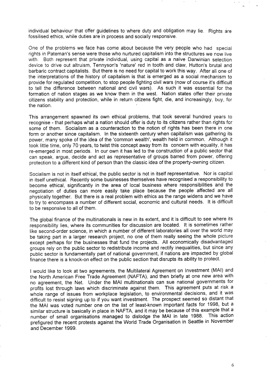individual behaviour that offer guidelines to where duty and obligation may lie. Rights are fossilised ethics, while duties are in process and socially responsive.

One of the problems we face has come about because the very people who had special rights in Pateman's sense were those who nurtured capitalism into the structures we now live with. Both represent that private individual, using capital as a naïve Darwinian selection device to drive out altruism, Tennyson's 'nature' red in tooth and claw, Hutton's brutal and barbaric contract capitalists. But there is no need for capital to work this way. After all one of the interpretations of the history of capitalism is that is emerged as a social mechanism to provide for regulated competition, to stop people fighting civil wars (now of course it's difficult to tell the difference between national and civil wars). As such it was essential for the formation of nation stages as we know them in the west. Nation states offer their private citizens stability and protection, while in return citizens fight, die, and increasingly, buy, for the nation.

This arrangement spawned its own ethical problems, that took several hundred years to recognise - that perhaps what a nation should offer is duty to its citizens rather than rights for some of them. Socialism as a counteraction to the notion of rights has been there in one form or another since capitalism. In the sixteenth century when capitalism was gathering its power, many spoke of the idea of the 'common wealth', wealth held in common. Although it took little time, only 70 years, to twist this concept away from its concern with equality, it has re-emerged in most periods. In our own it has led to the construction of a public sector that can speak, argue, decide and act as representative of groups barred from power, offering protection to a different kind of person than the classic idea of the property-owning citizen.

Socialism is not in itself ethical, the public sector is not in itself representative. Nor is capital in itself unethical. Recently some businesses themselves have recognised a responsibility to become ethical, significantly in the area of local business where responsibilities and the negotiation of duties can more easily take place because the people affected are all physically together. But there is a real problem with ethics as the range widens and we have to try to encompass a number of different social, economic and cultural needs. It is difficult to be responsive to all of them.

The global finance of the multinationals is new in its extent, and it is difficult to see where its responsibility lies, where its communities for discussion are located. It is sometimes rather like second-order science, in which a number of different laboratories all over the world may be taking part in a larger research project, no one of them really seeing the whole picture except perhaps for the businesses that fund the projects. All economically disadvantaged groups rely on the public sector to redistribute income and rectify inequalities, but since any public sector is fundamentally part of national government, if nations are impacted by global finance there is a knock-on effect on the public section that disrupts its ability to protect.

I would like to look at two agreements, the Multilateral Agreement on Investment (MAI) and the North American Free Trade Agreement (NAFTA), and then briefly at one new area with no agreement, the Net. Under the MAI multinationals can sue national governments for profits lost through laws which discriminate against them. This agreement puts at risk a whole range of issues from workplace legislation, to environmental decisions, and it was difficult to resist signing up to if you want investment. The prospect seemed so distant that the MAI was voted number one on the list of least-known important facts for 1998, but a similar structure is basically in place in NAFTA, and it may be because of this example that a number of small organisations managed to dislodge the MAI in late 1988. This action prefigured the recent protests against the World Trade Organisation in Seattle in November and December 1999.

6

,,, ,,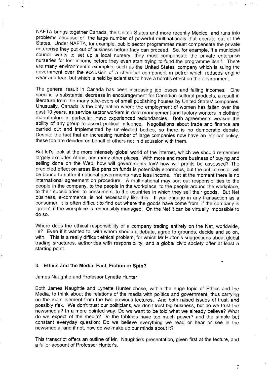NAFTA brings together Canada, the United States and more recently Mexico, and runs into problems because of the large number of powerful multinationals that operate out of the States. Under NAFTA, for example, public sector programmes must compensate the private enterprise they put out of business before they can proceed, So, for example, if a municipal council wants to set Up a local nursery, they must compensate the private enterprise nurseries for lost income before they even start trying to fund the programme itself. There are many environmental examples, such as the United States' company which is suing the government over the exclusion of a chemical component in petrol which reduces engine wear and tear, but which is held by scientists to have a horrific effect on the environment.

The general result in Canada has been increasing job losses and falling incomes. One specific: a substantial decrease in encouragement for Canadian cultural products, a result in literature from the many take-overs of small publishing houses by United States' companies. Unusually, Canada is the only nation where the employment of women has fallen over the past 10 years, as service sector workers in data management and factory workers in clothing manufacture in particular, have experienced redundancies. Both agreements weaken the ability of any group to assert political influence. Negotiations about trade and finance are carried out and implemented by un-elected bodies, so there is no democratic debate. Despite the fact that an increasing number of large companies now have an 'ethical' policy, these too are decided on behalf of others not in discussion with them.

But let's look at the more intensely global world of the internet, which we should remember largely excludes Africa, and many other places. With more and more business of buying and selling done on the Web, how will governments tax? how will profits be assessed? The predicted effect on areas like pension funds is potentially enormous, but the public sector will be bound to suffer if national governments have less income. Yet at the moment there is no international agreement on procedure. A multinational may sort out responsibilities to the people in the company, to the people in the workplace, to the people around the workplace, to their subsidiaries, to consumers, to the countries in which they sell their goods. But Net business, e-commerce, is not necessarily like this. If you engage in any transaction as a consumer, it is often dificult to find out where the goods have come from, if the company is 'green', if the workplace is responsibly managed. On the Net it can be virtually impossible to do *SO.*

Where does the ethical responsibility of a company trading entirely on the Net, worldwide, lie? Even if it wanted to, with whom should it debate, agree to grounds, decide and so on, with. This is a really difficult ethical problem, for which Mr Hutton's suggestions about global trading structures, authorities with responsibility, and a global civic society offer at least a starting point.

#### 3. **Ethics and the Media: Fact, Fiction or Spin?**

James Naughtie and Professor Lynette Hunter

,

,.

Both James Naughtie and Lynette Hunter chose, within the huge topic of Ethics and the Media, to think about the relations of the media with politics and government, thus carrying on the main element from the two previous lectures. And both raised issues of trust, and possibly risk. We don't trust our politicians, we don't trust big business, but do we trust the newsmedia? In a more pointed way: Do we want to be told what we already believe? What do we expect of the media? Do the tabloids have too much power? and the simple but constant everyday question: Do we believe everything we read or hear or see in the newsmedia, and if not, how do we make up our minds about it?

This transcript offers an outline of Mr. Naughtie's presentation, given first at the lecture, and a fuller account of Professor Hunter's.

7

**.**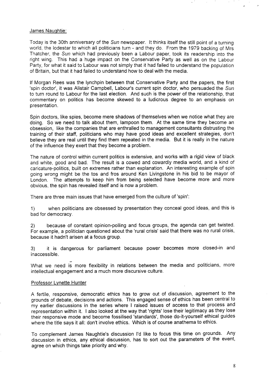#### James Nauqhtie:

Today is the 30th anniversary of the Sun newspaper. It thinks itself the still point of a turning world, the lodestar to which all politicians turn - and they do. From the 1979 backing of Mrs Thatcher, the Sun which had previously been a Labour paper, took its readership into the right wing. This had a huge impact on the Conservative Party as well as on the Labour Party, for what it said to Labour was not simply that it had failed to understand the population of Britain, but that it had failed to understand how to deal with the media.

If Morgan Rees was the Iynchpin between that Conservative Party and the papers, the first 'spin doctor', it was Alistair Campbell, Labour's current spin doctor, who persuaded the Sun to turn round to Labour for the last election. And such is the power of the relationship, that commentary on politics has become skewed to a ludicrous degree to an emphasis on presentation.

Spin doctors, like spies, become mere shadows of themselves when we notice what they are doing. So we need to talk about them, lampoon them. At the same time they become an obsession, like the companies that are enthralled to management consultants distrusting the training of their staff, politicians who may have good ideas and excellent strategies, don't believe they are real until they find them repeated in the media. But it is really in the nature of the influence they exert that they become a problem.

The nature of control within current politics is extensive, and works with a rigid view of black and white, good and bad. The result is a cowed and cowardly media world, and a kind of caricature-politics, built on extremes rather than explanation. An interesting example of spin going wrong might be the tos and fros around Ken Livingstone in his bid to be mayor of London. The attempts to keep him from being selected have become more and more obvious, the spin has revealed itself and is now a problem.

There are three main issues that have emerged from the culture of 'spin':

1) when politicians are obsessed by presentation they conceal good ideas, and this is bad for democracy.

2) because of constant opinion-polling and focus groups, the agenda can get twisted. For example, a politician questioned about the 'rural crisis' said that there was no rural crisis, because it hadn't arisen at a focus group.

3) it is dangerous for parliament because power becomes more closed-in and inaccessible.

What we need is more flexibility in relations between the media and politicians, more intellectual engagement and a much more discursive culture.

#### Professor Lynette Hunter

A fertile, responsive, democratic ethics has to grow out of discussion, agreement to the grounds of debate, decisions and actions. This engaged sense of ethics has been central to my earlier discussions in the series where 1 raised issues of access to that process and representation within it. I also looked at the way that 'rights' lose their legitimacy as they lose their responsive mode and become fossilised 'standards', those do-it-yourself ethical guides where the title says it all: don't involve ethics. Which is of course anathema to ethics.

To complement James Naughtie's discussion I'd like to focus this time on grounds. Any discussion in ethics, any ethical discussion, has to sort out the parameters of the event, agree on which things take priority and why.

,.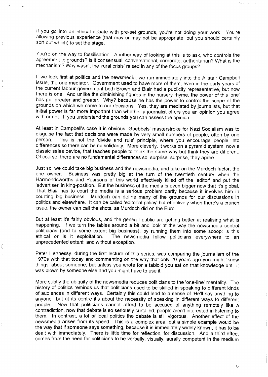If you go into an ethical debate with pre-set grounds, you're not doing your work. You're allowing previous experience (that may or may not be appropriate, but you should certainly sort out which) to set the stage.

You're on the way to fossilisation, Another way of looking at this is to ask, who controls the agreement to grounds? is it Consensual, conversational, corporate, authoritarian? What is the mechanism? Why wasn't the 'rural crisis' raised in any of the focus groups?

If we look first at politics and the newsmedia, we run immediately into the Alistair Campbell issue, the one mediator. Government used to have more of them, even in the early years of the current Iabour government both Brown and Blair had a publicity representative, but now there is one. And unlike the diminishing figures in the nursery rhyme, the power of this 'one' has got greater and greater. Why? because he has the power to control the scope of the grounds on which we come to our decisions. Yes, they are mediated by journalists, but that initial power is far more important than whether a journalist offers you an opinion you agree with or not. If you understand the grounds you can assess the opinion.

At least in Campbell's case it is obvious: Goebbels' masterstroke for Nazi Socialism was to disguise the fact that decisions were made by very small numbers of people, often by one person. This is not the 'divide and rule' principle, where you encourage people into differences so there can be no solidarity. More cleverly, it works on a pyramid system, now a classic sales device, that teaches people to think the same way but think they are different. Of course, there are no fundamental differences so, surprise, surprise, they agree.

Just so, we could take big business and the newsmedia, and take on the Murdoch factor, the one owner. Business was pretty big at the turn of the twentieth century when the Business was pretty big at the turn of the twentieth century when the Harmondsworths and Pearsons of this world effectively killed off the 'editor' and put the 'advertiser' in king-position. But the business of the media is even bigger now that it's global. That Blair has to court the media is a serious problem partly because it involves him in courting big business. Murdoch can define many of the grounds for our discussions in politics and elsewhere. It can be called 'editorial policy' but effectively when there's a crunch issue, the owner can call the shots, as Murdoch did on the Euro.

But at least it's fairly obvious, and the general public are getting better at realising what is happening. If we turn the tables around a bit and look at the way the newsmedia control politicians (and to some extent big business), by running them into some scoop: is this ethical or is it exploitation. The newsmedia follow politicians everywhere to an The newsmedia follow politicians everywhere to an unprecedented extent, and without exception.

Peter Hennessy, during the first lecture of this series, was comparing the journalism of the 1970s with that today and commenting on the way that only 20 years ago you might 'know things' about someone, but unless you wrote for a tabloid you sat on that knowledge until it was blown by someone else and you might have to use it.

ŧ,

More subtly the ubiquity of the newsmedia reduces politicians to the 'one-line' mentality. The history of politics reminds us that politicians used to be skilled in speaking to different kinds of audiences in different ways. Cefiainly this could lead to a sense of 'He'll say anything to anyone', but at its centre it's about the necessity of speaking in different ways to different people. Now that politicians cannot afford to be accused of anything remotely like a contradiction, now that debate is so seriously curtailed, people aren't interested in listening to them. In contrast, a lot of local politics the debate is still vigorous. Another effect of the newsmedia arises from its speed. This is a complex area, but a simple example would be the way that if someone says something, because it is immediately widely known, it has to be dealt with immediately. There is little time for reflection, for discussion. And a third effect comes from the need for politicians to be verbally, visually, aurally competent in the medium

9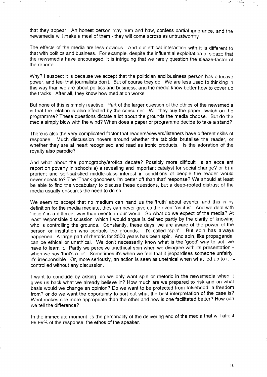that they appear. An honest person may hum and haw, confess partial ignorance, and the newsmedia will make a meal of them - they will come across as untrustworthy.

The effects of the media are less obvious. And our ethical interaction with it is different to that with politics and business. For example, despite the influential exploitation of sleaze that the newsmedia have encouraged, it is intriguing that we rarely question the sleaze-factor of the reporter.

Why? I suspect it is because we accept that the politician and business person has effective power, and feel that journalists don't. But of course they do. We are less used to thinking in this way than we are about politics and business, and the media know better how to cover up the tracks. After all, they know how mediation works.

But none of this is simply reactive. Part of the larger question of the ethics of the newsmedia is that the relation is also effected by the consumer. Will they buy the paper, switch on the programme? These questions dictate a lot about the grounds the media choose. But do the media simply blow with the wind? When does a paper or programme decide to take a stand?

There is also the very complicated factor that readers/viewers/listeners have different skills of response. Much discussion hovers around whether the tabloids brutalise the reader, or whether they are at heart recognised and read as ironic products. Is the adoration of the royalty also parodic?

And what about the pornography/erotica debate? Possibly more difficult: is an excellent report on poverty in schools a) a revealing and important catalyst for social change? or b) a prurient and self-satisfied middle-class interest in conditions of people the reader would never speak to? The 'Thank goodness I'm better off than that' response? We should at least be able to find the vocabulary to discuss these questions, but a deep-rooted distrust of the media usually obscures the need to do so.

We seem to accept that no medium can hand us the 'truth' about events, and this is by definition for the media mediate, they can never give us the event 'as it is'. And we deal with 'fiction' in a different way than events in our world. So what do we expect of the media? At least responsible discussion, which I would argue is defined partly by the clarity of knowing who is controlling the grounds. Constantly, these days, we are aware of the power of the person or institution who controls the grounds. It's called 'spin'. But spin has always happened. A large part of rhetoric for 2500 years has been spin. And spin, like propaganda, can be ethical or unethical. We don't necessarily know what is the 'good' way to act, we have to learn it. Partly we perceive unethical spin when we disagree with its presentation when we say 'that's a lie'. Sometimes it's when we feel that it jeopardises someone unfairly, it's irresponsible. Or, more seriously, an action is seen as unethical when what led up to it iscontrolled without any discussion.

I want to conclude by asking, do we only want spin or rhetoric in the newsmedia when it gives us back what we already believe in? How much are we prepared to risk and on what basis would we change an opinion? Do we want to be protected from falsehood, a freedom from? or do we want the opportunity to sort out what the best interpretation of the case is? What makes one more appropriate than the other and how is one facilitated better? How can we tell the difference?

In the immediate moment it's the personality of the delivering end of the media that will affect 99.99% of the response, the ethos of the speaker.

بد (ب) كوميلا ومن براه

(: ,.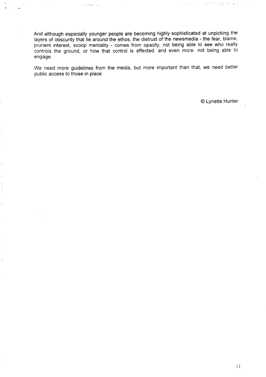And although especially younger people are becoming highly sophisticated at unpicking the layers of obscurity that lie around the ethos, the distrust of the newsmedia - the fear, blame, prurient interest, scoop mentality - comes from opacity, not being able to see who really controls the ground, or how that control is effected, and even more, not being able to engage.

... ...,,., ,,

 $\ddot{\phantom{a}}$  . .

÷.

 $\ddot{\cdot}$  $\hat{\mathbf{v}}$ 

ŧ,

 $\bar{\beta}$ 

 $\hat{f}$ 

We need more guidelines from the media, but more important than that, we need better public access to those in place.

@ Lynette Hunter

,., .' .-, ,. . . . . .